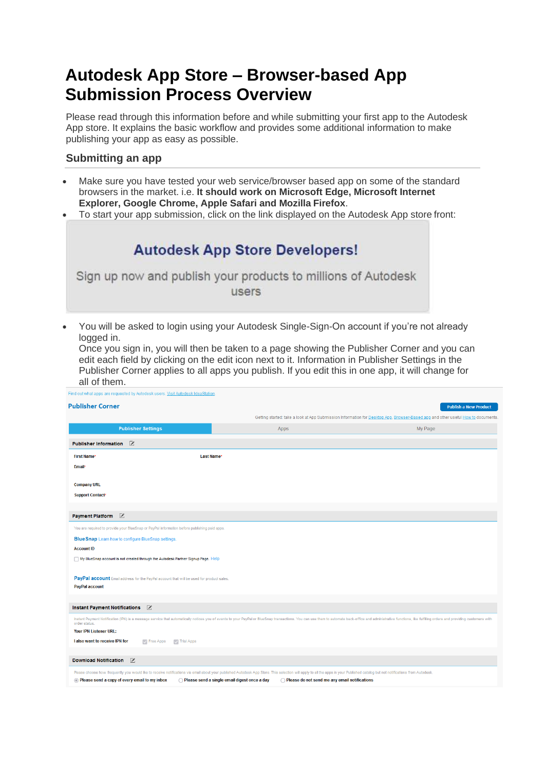# **Autodesk App Store – Browser-based App Submission Process Overview**

Please read through this information before and while submitting your first app to the Autodesk App store. It explains the basic workflow and provides some additional information to make publishing your app as easy as possible.

## **Submitting an app**

- Make sure you have tested your web service/browser based app on some of the standard browsers in the market. i.e. **It should work on Microsoft Edge, Microsoft Internet Explorer, Google Chrome, Apple Safari and Mozilla Firefox**.
- To start your app submission, click on the link displayed on the Autodesk App store front:

| <b>Autodesk App Store Developers!</b>                         |  |
|---------------------------------------------------------------|--|
| Sign up now and publish your products to millions of Autodesk |  |
| users                                                         |  |

• You will be asked to login using your Autodesk Single-Sign-On account if you're not already logged in.

Once you sign in, you will then be taken to a page showing the Publisher Corner and you can edit each field by clicking on the edit icon next to it. Information in Publisher Settings in the Publisher Corner applies to all apps you publish. If you edit this in one app, it will change for all of them.

| Find out what apps are requested by Autodesk users. Visit Autodesk IdeaStation.                                                                                                                                                |                                                                                               |                                                                                                                                                                                                                                |
|--------------------------------------------------------------------------------------------------------------------------------------------------------------------------------------------------------------------------------|-----------------------------------------------------------------------------------------------|--------------------------------------------------------------------------------------------------------------------------------------------------------------------------------------------------------------------------------|
| <b>Publisher Corner</b>                                                                                                                                                                                                        |                                                                                               | <b>Publish a New Product</b>                                                                                                                                                                                                   |
|                                                                                                                                                                                                                                |                                                                                               | Getting started: take a look at App Submission Information for Desktop App, Browser-Based app and other useful How to documents.                                                                                               |
| <b>Publisher Settings</b>                                                                                                                                                                                                      | Apps                                                                                          | My Page                                                                                                                                                                                                                        |
| $\overline{\mathscr{I}}$<br><b>Publisher Information</b>                                                                                                                                                                       |                                                                                               |                                                                                                                                                                                                                                |
| <b>First Name*</b>                                                                                                                                                                                                             | Last Name*                                                                                    |                                                                                                                                                                                                                                |
| <b>Email*</b>                                                                                                                                                                                                                  |                                                                                               |                                                                                                                                                                                                                                |
|                                                                                                                                                                                                                                |                                                                                               |                                                                                                                                                                                                                                |
| <b>Company URL</b>                                                                                                                                                                                                             |                                                                                               |                                                                                                                                                                                                                                |
| <b>Support Contact*</b>                                                                                                                                                                                                        |                                                                                               |                                                                                                                                                                                                                                |
|                                                                                                                                                                                                                                |                                                                                               |                                                                                                                                                                                                                                |
| Payment Platform Z                                                                                                                                                                                                             |                                                                                               |                                                                                                                                                                                                                                |
| You are required to provide your BlueSnap or PayPal information before publishing paid apps.                                                                                                                                   |                                                                                               |                                                                                                                                                                                                                                |
| <b>Blue Snap</b> Learn how to configure Blue Snap settings.                                                                                                                                                                    |                                                                                               |                                                                                                                                                                                                                                |
| <b>Account ID</b>                                                                                                                                                                                                              |                                                                                               |                                                                                                                                                                                                                                |
| My BlueSnap account is not created through the Autodesk Partner Signup Page. Help                                                                                                                                              |                                                                                               |                                                                                                                                                                                                                                |
| PayPal account Email address for the PayPal account that will be used for product sales.                                                                                                                                       |                                                                                               |                                                                                                                                                                                                                                |
| <b>PayPal account</b>                                                                                                                                                                                                          |                                                                                               |                                                                                                                                                                                                                                |
|                                                                                                                                                                                                                                |                                                                                               |                                                                                                                                                                                                                                |
| $\overline{\mathscr{L}}$<br><b>Instant Payment Notifications</b>                                                                                                                                                               |                                                                                               |                                                                                                                                                                                                                                |
| order status.                                                                                                                                                                                                                  |                                                                                               | Instant Payment Notification (IPN) is a message service that automatically notices you of events to your PayPal or BlueSnap transactions. You can use them to automate back-office and administrative functions, like fulfilli |
| Your IPN Listener URL:                                                                                                                                                                                                         |                                                                                               |                                                                                                                                                                                                                                |
| I also want to receive IPN for<br>Free Apps<br><b>Trial Apps</b>                                                                                                                                                               |                                                                                               |                                                                                                                                                                                                                                |
|                                                                                                                                                                                                                                |                                                                                               |                                                                                                                                                                                                                                |
| Download Notification X                                                                                                                                                                                                        |                                                                                               |                                                                                                                                                                                                                                |
| Please choose how frequently you would like to receive notifications via email about your published Autodesk App Store. This selection will apply to all the apps in your Published catalog but not notifications from Autodes |                                                                                               |                                                                                                                                                                                                                                |
| • Please send a copy of every email to my inbox                                                                                                                                                                                | Please send a single email digest once a day<br>Please do not send me any email notifications |                                                                                                                                                                                                                                |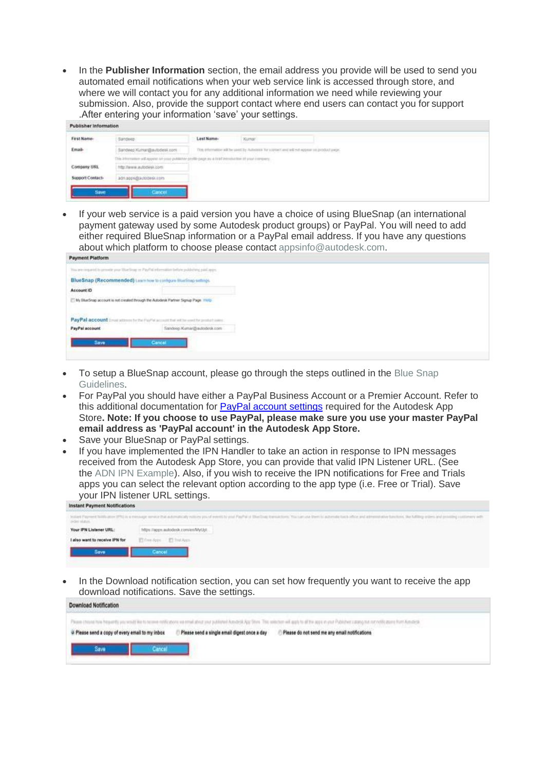• In the **Publisher Information** section, the email address you provide will be used to send you automated email notifications when your web service link is accessed through store, and where we will contact you for any additional information we need while reviewing your submission. Also, provide the support contact where end users can contact you for support .After entering your information 'save' your settings.

| Publisher Information |                                                                                                     |            |                                                                                                                 |                                                                                              |
|-----------------------|-----------------------------------------------------------------------------------------------------|------------|-----------------------------------------------------------------------------------------------------------------|----------------------------------------------------------------------------------------------|
| First Name-           | mandeep.                                                                                            | Last Name- | Kumar                                                                                                           |                                                                                              |
| Email                 | andeep Kumar@autodesit.com                                                                          |            |                                                                                                                 | This information will be used by Automobile for some of and will not appear on product page. |
|                       | This information will expens on your publisher profile page as a high introduction of your company. |            |                                                                                                                 |                                                                                              |
| Company URL           | mp: Review autobisk com                                                                             |            | The second control of the control of the control of the control of the control of the control of the control of |                                                                                              |
| Signment Contact:     | adniapprodisionsess.com                                                                             |            |                                                                                                                 |                                                                                              |

• If your web service is a paid version you have a choice of using BlueSnap (an international payment gateway used by some Autodesk product groups) or PayPal. You will need to add either required BlueSnap information or a PayPal email address. If you have any questions about which platform to choose please contact [appsinfo@autodesk.com.](mailto:appsinfo@autodesk.com)

| <b>Payment Platform</b> |                                                                                             |  |  |
|-------------------------|---------------------------------------------------------------------------------------------|--|--|
|                         | The are request to provide your Worldow or PayPal information before publishing paid appro- |  |  |
|                         | BlueSnap (Recommended) Learn how to configure HueSnap settings.<br>アルクランス アウェー しゅくしょ アッチェル  |  |  |
| Account ID              |                                                                                             |  |  |
|                         | 14 My Studinap account is not created through the Autodesk Partner Signup Page. 1100        |  |  |
|                         |                                                                                             |  |  |
|                         | PayPal account in an atmost in the FigHs account that will be used for product came."       |  |  |
| PayPal account          | Sandoop Kumar@autodotk.com                                                                  |  |  |
|                         |                                                                                             |  |  |
| Save                    | Cancel                                                                                      |  |  |
|                         |                                                                                             |  |  |

- To setup a BlueSnap account, please go through the steps outlined in the [Blue Snap](https://apps.autodesk.com/Public/BlueSnapGuide) [Guidelines.](https://apps.autodesk.com/Public/BlueSnapGuide)
- For PayPal you should have either a PayPal Business Account or a Premier Account. Refer to this additional documentation for **PayPal account settings** required for the Autodesk App Store**. Note: If you choose to use PayPal, please make sure you use your master PayPal email address as 'PayPal account' in the Autodesk App Store.**
- Save your BlueSnap or PayPal settings.
- If you have implemented the IPN Handler to take an action in response to IPN messages received from the Autodesk App Store, you can provide that valid IPN Listener URL. (See the [ADN IPN Example\)](https://github.com/ADN-DevTech/Exchange-IPNListener-Sample). Also, if you wish to receive the IPN notifications for Free and Trials apps you can select the relevant option according to the app type (i.e. Free or Trial). Save your IPN listener URL settings.

| <b>HISRAIN FRYSININ NUMIRAMUS</b> |                                                                                                                                                                                                                                                                                                                                                  |
|-----------------------------------|--------------------------------------------------------------------------------------------------------------------------------------------------------------------------------------------------------------------------------------------------------------------------------------------------------------------------------------------------|
| DON'TEEN                          | lested Payment Middle alors (PR) is a mensure never that automatically estimal year PayPal in Disellous transisters. You can use PayPal to advertise texts after a stream and a textures, the fulfiling index and annibles con<br>e sa masa sa kabila na mata na mata na mata na mata na mata na mata na mata na mata na mata na mata na mata na |
| Your IPN Listener URL:            | https://apps.autodesk.com/en/MyUpl                                                                                                                                                                                                                                                                                                               |
| I also want to receive IPN for    | El fine Apps El Trul Apps                                                                                                                                                                                                                                                                                                                        |
| Save                              | Cancel                                                                                                                                                                                                                                                                                                                                           |
|                                   |                                                                                                                                                                                                                                                                                                                                                  |

• In the Download notification section, you can set how frequently you want to receive the app download notifications. Save the settings.

| Download Notification                                                                                                                                                                                                         |                                               |
|-------------------------------------------------------------------------------------------------------------------------------------------------------------------------------------------------------------------------------|-----------------------------------------------|
| Please choose have Presumity you would like to necess motiv above you entered about your published Auto-14, App Show. This selection will apply to all the apps in your Publishers calable at your Publishers call the result |                                               |
| Please send a single email digest once a day<br>o Please send a copy of every email to my inbox                                                                                                                               | Please do not send me any email notifications |
| Save                                                                                                                                                                                                                          |                                               |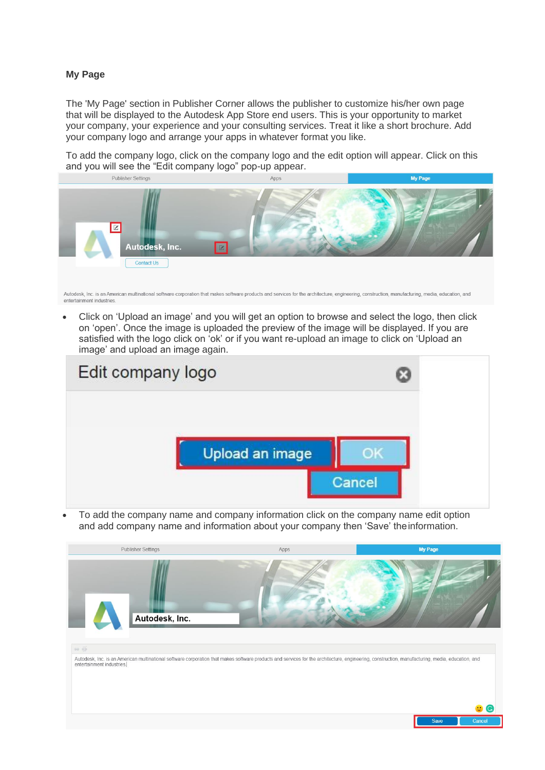#### **My Page**

The 'My Page' section in Publisher Corner allows the publisher to customize his/her own page that will be displayed to the Autodesk App Store end users. This is your opportunity to market your company, your experience and your consulting services. Treat it like a short brochure. Add your company logo and arrange your apps in whatever format you like.

To add the company logo, click on the company logo and the edit option will appear. Click on this and you will see the "Edit company logo" pop-up appear.<br>Publisher Settings



Autodesk, Inc. is an American multinational software corporation that makes software products and services for the architecture, engineering, construction, manufacturing, media, education, and entertainment industries

• Click on 'Upload an image' and you will get an option to browse and select the logo, then click on 'open'. Once the image is uploaded the preview of the image will be displayed. If you are satisfied with the logo click on 'ok' or if you want re-upload an image to click on 'Upload an image' and upload an image again.



• To add the company name and company information click on the company name edit option and add company name and information about your company then 'Save' theinformation.

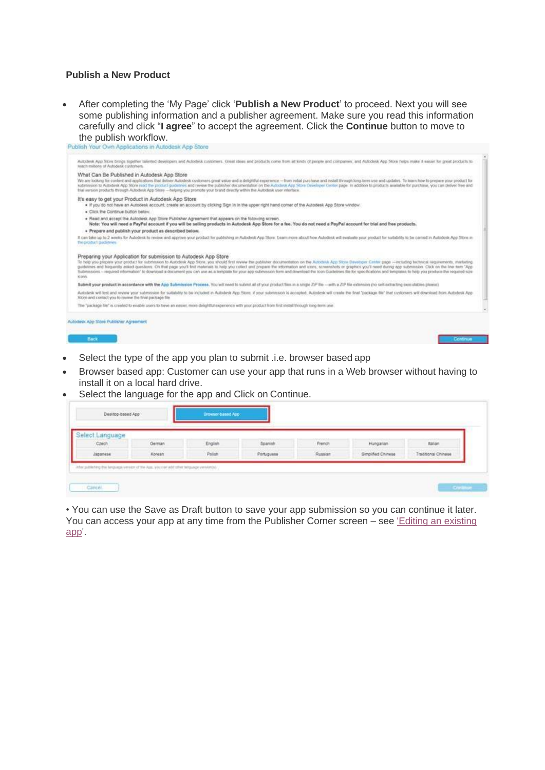#### **Publish a New Product**

• After completing the 'My Page' click '**Publish a New Product**' to proceed. Next you will see some publishing information and a publisher agreement. Make sure you read this information carefully and click "**I agree**" to accept the agreement. Click the **Continue** button to move to the publish workflow.<br>Publish Your Own Applications in Autodesk App Store



- Select the type of the app you plan to submit .i.e. browser based app
- Browser based app: Customer can use your app that runs in a Web browser without having to install it on a local hard drive.
- Select the language for the app and Click on Continue.

| elect Language |        |                    |            |         |                    |                     |
|----------------|--------|--------------------|------------|---------|--------------------|---------------------|
| Carch          | German | English            | Spanish    | French  | Hungarian          | italian             |
| Japanese       | Korean | Polan <sup>2</sup> | Portuguese | Russian | Simplified Chinese | Traditional Chinese |

• You can use the Save as Draft button to save your app submission so you can continue it later. You can access your app at any time from the Publisher Corner screen – see ['Editing an existing](#page-10-0) [app'.](#page-10-0)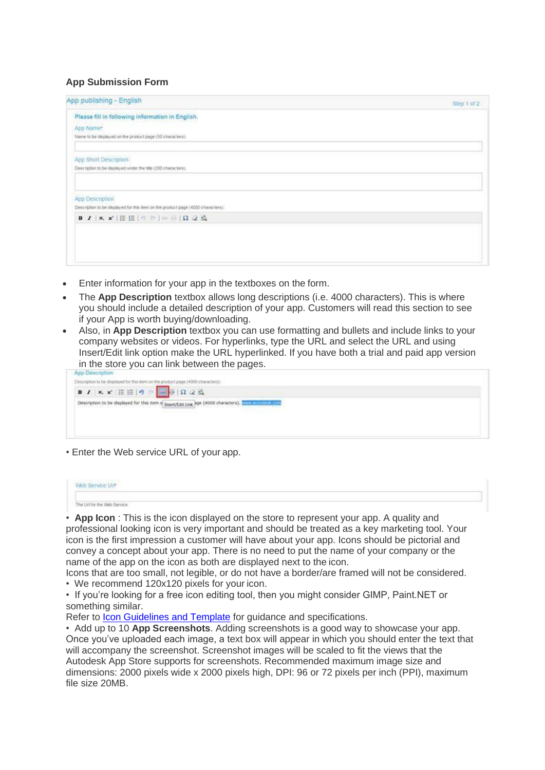### **App Submission Form**

| App publishing - English                                                                                                                                                                               | Step 1 of 2 |
|--------------------------------------------------------------------------------------------------------------------------------------------------------------------------------------------------------|-------------|
| Please fill in following information in English.                                                                                                                                                       |             |
| App Name*                                                                                                                                                                                              |             |
| Name to be displayed on the product page (50 characters).                                                                                                                                              |             |
| App Short Description                                                                                                                                                                                  |             |
| Description to be displayed under the title (200 characters).                                                                                                                                          |             |
| App Description                                                                                                                                                                                        |             |
| Description to be clapleyed for this item on the product page (4000 characters):<br><b>B</b> $I$   $X$ , $X'$   $\equiv$ $\equiv$ $\mid$ $\cap$ $\mid$ $\mid$ $\equiv$ $\mid$ $\Omega$ $\sim$ $\Delta$ |             |
|                                                                                                                                                                                                        |             |
|                                                                                                                                                                                                        |             |
|                                                                                                                                                                                                        |             |
|                                                                                                                                                                                                        |             |

- Enter information for your app in the textboxes on the form.
- The **App Description** textbox allows long descriptions (i.e. 4000 characters). This is where you should include a detailed description of your app. Customers will read this section to see if your App is worth buying/downloading.
- Also, in **App Description** textbox you can use formatting and bullets and include links to your company websites or videos. For hyperlinks, type the URL and select the URL and using Insert/Edit link option make the URL hyperlinked. If you have both a trial and paid app version in the store you can link between the pages.

| App Description                                                                                                                                                 |                                                                                                                                                                                                                       |  |
|-----------------------------------------------------------------------------------------------------------------------------------------------------------------|-----------------------------------------------------------------------------------------------------------------------------------------------------------------------------------------------------------------------|--|
| Description to be displayed for this item on the product page (4000 characters).                                                                                |                                                                                                                                                                                                                       |  |
| $\mathbf{B} \mid \mathbf{I} \mid \mathbf{x}, \mathbf{x'} \mid \Xi \not\sqsubseteq  \mathbf{0} \mid \cong \boxed{\mathbf{s}} \mid \Omega \not\subset \mathbb{R}$ |                                                                                                                                                                                                                       |  |
|                                                                                                                                                                 | Description to be displayed for this item o InservEdit Link hor (4000 characters). www.nuclears.com<br>ter magnetic des sons son de la contrata de la contrata de la contrata de la contrata de la contrata de la con |  |
|                                                                                                                                                                 |                                                                                                                                                                                                                       |  |
|                                                                                                                                                                 |                                                                                                                                                                                                                       |  |

• Enter the Web service URL of your app.

| President Fire<br>AND PERKE NIL |  |  |
|---------------------------------|--|--|
| The Ud for the Web Service      |  |  |

• **App Icon** : This is the icon displayed on the store to represent your app. A quality and professional looking icon is very important and should be treated as a key marketing tool. Your icon is the first impression a customer will have about your app. Icons should be pictorial and convey a concept about your app. There is no need to put the name of your company or the name of the app on the icon as both are displayed next to the icon.

Icons that are too small, not legible, or do not have a border/are framed will not be considered.

• We recommend 120x120 pixels for your icon.

• If you're looking for a free icon editing tool, then you might consider GIMP, Paint.NET or something similar.

Refer to **Icon Guidelines and Template** for guidance and specifications.

• Add up to 10 **App Screenshots**. Adding screenshots is a good way to showcase your app. Once you've uploaded each image, a text box will appear in which you should enter the text that will accompany the screenshot. Screenshot images will be scaled to fit the views that the Autodesk App Store supports for screenshots. Recommended maximum image size and dimensions: 2000 pixels wide x 2000 pixels high, DPI: 96 or 72 pixels per inch (PPI), maximum file size 20MB.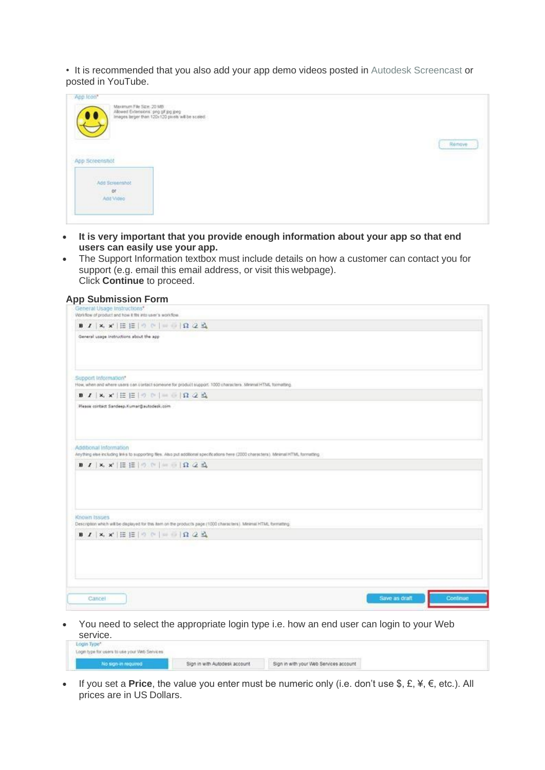• It is recommended that you also add your app demo videos posted in [Autodesk Screencast o](https://screencast.autodesk.com/)r posted in YouTube.

| App Icon*<br>Maximum File Size: 20 MB<br>Allowed Extensions: png gif jog jpeg<br>Images larger than 120x120 pixels will be scaled. |        |
|------------------------------------------------------------------------------------------------------------------------------------|--------|
| App Screenshot                                                                                                                     | Rémove |
| <b>CAST LEADERS CONTACT</b><br>Add Screenshot<br>or<br>Add Video<br><b><i>CONTRACTOR</i></b>                                       |        |

- **It is very important that you provide enough information about your app so that end users can easily use your app.**
- The Support Information textbox must include details on how a customer can contact you for support (e.g. email this email address, or visit this webpage). Click **Continue** to proceed.

| General Usage Instructions*<br>Viori-flow of product and how it fits into user's workflow.                                                                       |               |          |
|------------------------------------------------------------------------------------------------------------------------------------------------------------------|---------------|----------|
|                                                                                                                                                                  |               |          |
| General usage instructions about the app                                                                                                                         |               |          |
| Support Information*<br>How, when and where users can contact someone for product support. 1000 characters. Minimal HTML formating.                              |               |          |
|                                                                                                                                                                  |               |          |
| Please contact Sandeep.Kumar@autodesk.com                                                                                                                        |               |          |
| Additional Information<br>Anything else including links to supporting files. Also put additional specifications here (2000 characters), Minimal HTML formatting. |               |          |
|                                                                                                                                                                  |               |          |
| Known Issues<br>Description which will be displayed for this item on the products page (1000 characters). Minimal HTML formatting.                               |               |          |
| $B$ $I$ $\vert$ x, x' $\vert$ $E$ $\vert$ $\circ$ $\vert$ $\vert$ $\vert$ $\vert$ $\vert$ $\vert$ $\Omega$ $2$ $R$                                               |               |          |
|                                                                                                                                                                  |               |          |
| Cancel                                                                                                                                                           | Save as draft | Continue |

• You need to select the appropriate login type i.e. how an end user can login to your Web service.

• If you set a **Price**, the value you enter must be numeric only (i.e. don't use \$, £, ¥, €, etc.). All prices are in US Dollars.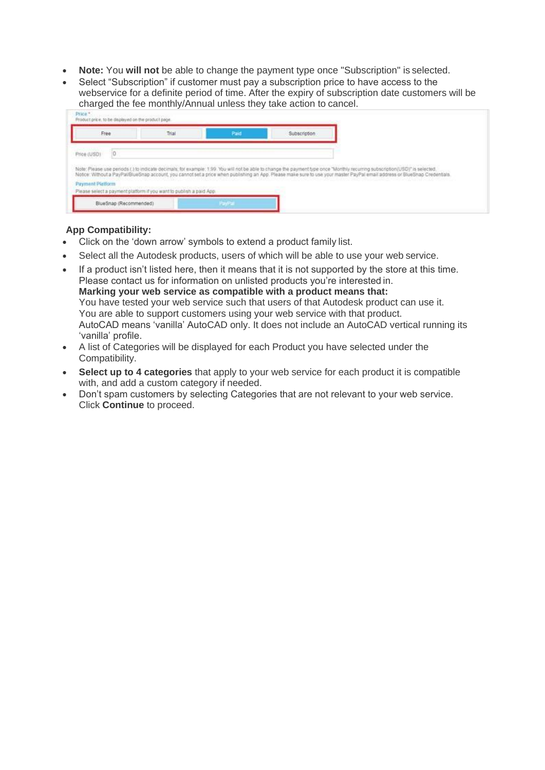- **Note:** You **will not** be able to change the payment type once "Subscription" is selected.
- Select "Subscription" if customer must pay a subscription price to have access to the webservice for a definite period of time. After the expiry of subscription date customers will be charged the fee monthly/Annual unless they take action to cancel.

| Price (USD)<br>Note: Please use periods () to indicate decimals; for example: 1.99. You will not be able to change the payment type once "Monthly recurring subscription(USD)" is selected.<br>Notice: Without a PayPaliBlueSnap account, you cannot set a price when publishing an App. Please make sure to use your master PayPal email address or BlueSnap Credentials. | Free:                   | Trial | Paid |  |
|----------------------------------------------------------------------------------------------------------------------------------------------------------------------------------------------------------------------------------------------------------------------------------------------------------------------------------------------------------------------------|-------------------------|-------|------|--|
|                                                                                                                                                                                                                                                                                                                                                                            |                         |       |      |  |
|                                                                                                                                                                                                                                                                                                                                                                            |                         |       |      |  |
| Please select a payment platform if you want to publish a paid App.                                                                                                                                                                                                                                                                                                        |                         |       |      |  |
|                                                                                                                                                                                                                                                                                                                                                                            |                         |       |      |  |
|                                                                                                                                                                                                                                                                                                                                                                            | <b>Payment Pletform</b> |       |      |  |

#### **App Compatibility:**

- Click on the 'down arrow' symbols to extend a product family list.
- Select all the Autodesk products, users of which will be able to use your web service.
- If a product isn't listed here, then it means that it is not supported by the store at this time. Please contact us for information on unlisted products you're interested in. **Marking your web service as compatible with a product means that:** You have tested your web service such that users of that Autodesk product can use it. You are able to support customers using your web service with that product. AutoCAD means 'vanilla' AutoCAD only. It does not include an AutoCAD vertical running its 'vanilla' profile.
- A list of Categories will be displayed for each Product you have selected under the Compatibility.
- **Select up to 4 categories** that apply to your web service for each product it is compatible with, and add a custom category if needed.
- Don't spam customers by selecting Categories that are not relevant to your web service. Click **Continue** to proceed.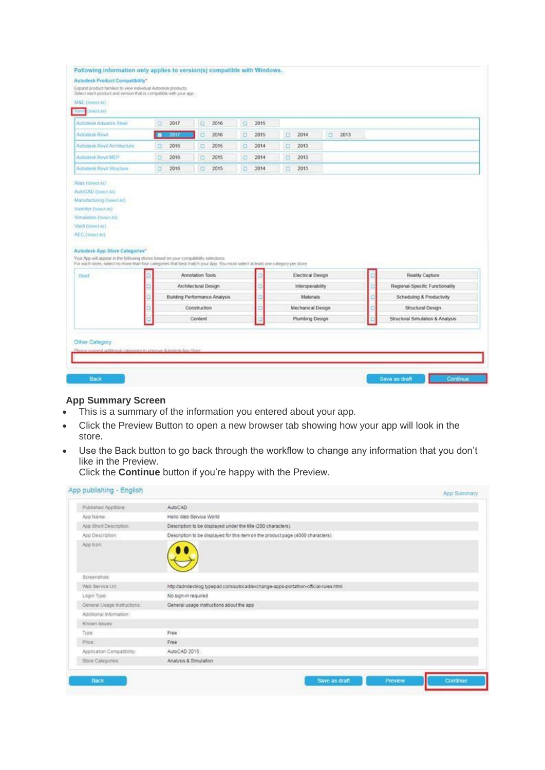| <b>ENSTAIL</b><br><b>Hown</b>                                                                                                                                                                                                                            |        |                                      |                      |      |   |      |   |                                      |   |      |  |                                 |  |
|----------------------------------------------------------------------------------------------------------------------------------------------------------------------------------------------------------------------------------------------------------|--------|--------------------------------------|----------------------|------|---|------|---|--------------------------------------|---|------|--|---------------------------------|--|
| Autodesk Advance Steel                                                                                                                                                                                                                                   | $\Box$ | 2017                                 | $\Box$               | 2016 | o | 2015 |   |                                      |   |      |  |                                 |  |
| Autodoxk Revil.                                                                                                                                                                                                                                          | æ      | 2017                                 | a                    | 2016 | Ð | 2015 | o | 2014                                 | o | 2013 |  |                                 |  |
| Autodesk Revil Architecture                                                                                                                                                                                                                              | а      | 2016                                 | α                    | 2015 | o | 2014 | α | 2013                                 |   |      |  |                                 |  |
| Autodask Revit MEP                                                                                                                                                                                                                                       | $\Box$ | 2016                                 | D                    | 2015 | O | 2014 | а | 2013                                 |   |      |  |                                 |  |
| Autodesk Revil Structure                                                                                                                                                                                                                                 | E      | 2016                                 | o                    | 2015 | o | 2014 | O | 2013                                 |   |      |  |                                 |  |
| Alan (Seect At)<br>AutoCAD (Sever Al)<br>Manufacturing Conect Atl<br>Inventor (Seect At)<br>Simulation (Select All)<br>Vault (Select AI)<br>ALC (Seert All                                                                                               |        |                                      |                      |      |   |      |   |                                      |   |      |  |                                 |  |
|                                                                                                                                                                                                                                                          |        |                                      |                      |      |   |      |   |                                      |   |      |  |                                 |  |
| Revil                                                                                                                                                                                                                                                    |        |                                      | Annotation Tools     |      |   |      |   | Electrical Design                    |   |      |  | Reality Capture                 |  |
|                                                                                                                                                                                                                                                          |        |                                      | Architectural Design |      |   |      |   | Interoperability                     |   |      |  | Regional-Specific Functionality |  |
|                                                                                                                                                                                                                                                          |        | <b>Building Performance Analysis</b> |                      |      |   |      |   | <b>Materials</b>                     |   |      |  | Scheduling & Productivity       |  |
| Autodesk App Store Categories*<br>Your App will appear in the following stores based on your compatibility selections.<br>For each store, select no more than four categories that best match your App. You must select at least one category per store. |        |                                      | Construction         |      |   |      |   | Mechanical Design<br>Plumbing Design |   |      |  | Structural Design               |  |

#### **App Summary Screen**

- This is a summary of the information you entered about your app.
- Click the Preview Button to open a new browser tab showing how your app will look in the store.
- Use the Back button to go back through the workflow to change any information that you don't like in the Preview.

Click the **Continue** button if you're happy with the Preview.

| App publishing - English    |                                                                                   |  | App Summary |
|-----------------------------|-----------------------------------------------------------------------------------|--|-------------|
| Published AppStore:         | <b>AutoCAD</b>                                                                    |  |             |
| Acc Name:                   | Hello Web Service World                                                           |  |             |
| App Short Description:      | Description to be displayed under the title (200 characters).                     |  |             |
| App Description:            | Description to be displayed for this item on the product page (4000 characters).  |  |             |
| App toon:                   |                                                                                   |  |             |
| Screenshots:                |                                                                                   |  |             |
| Web Service Url.            | http://adndevblog.typepad.com/autocad/exchange-apps-portathon-official-rules.html |  |             |
| Login Type:                 | No sign-in required                                                               |  |             |
| General Usage Instructions: | General usage instructions about the app                                          |  |             |
| Additional Information:     |                                                                                   |  |             |
| Khown Issues:               |                                                                                   |  |             |
| Type:                       | Free                                                                              |  |             |
| Price:                      | Free                                                                              |  |             |
| Application Compatibility:  | AutoCAD 2015                                                                      |  |             |
| Stone Categories:           | Analysis & Simulation                                                             |  |             |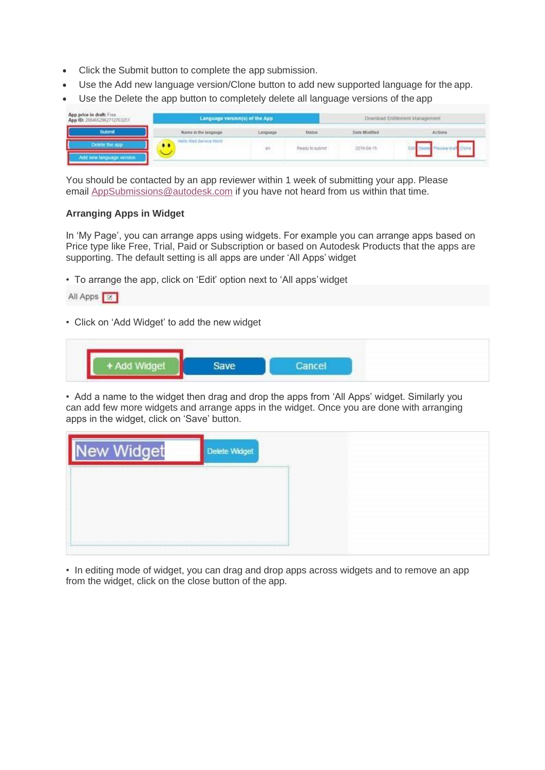- Click the Submit button to complete the app submission.
- Use the Add new language version/Clone button to add new supported language for the app.
- Use the Delete the app button to completely delete all language versions of the app

| App price in draft: Free<br>App ID: 2884652962712763251 | Language version(s) of the App |                                              |                                                            |                       | Download Entitlement Management |
|---------------------------------------------------------|--------------------------------|----------------------------------------------|------------------------------------------------------------|-----------------------|---------------------------------|
|                                                         | Name in the langauge           | 700<br>Language<br>and the company's and the | Status                                                     | Date Modified         | Actions                         |
| Add new tanguage version                                | Hells Web Bervice Word         | an.<br><b>SENTIS</b>                         | Ready to submit<br>and the contract of the contract of the | 2016-04-15<br>coochem |                                 |

You should be contacted by an app reviewer within 1 week of submitting your app. Please email [AppSubmissions@autodesk.com](mailto:AppSubmissions@autodesk.com) if you have not heard from us within that time.

#### **Arranging Apps in Widget**

In 'My Page', you can arrange apps using widgets. For example you can arrange apps based on Price type like Free, Trial, Paid or Subscription or based on Autodesk Products that the apps are supporting. The default setting is all apps are under 'All Apps' widget

• To arrange the app, click on 'Edit' option next to 'All apps'widget

|  |  | All Apps |  |
|--|--|----------|--|
|--|--|----------|--|

• Click on 'Add Widget' to add the new widget

• Add a name to the widget then drag and drop the apps from 'All Apps' widget. Similarly you can add few more widgets and arrange apps in the widget. Once you are done with arranging apps in the widget, click on 'Save' button.

| e | ו בי | <b>Delet</b> |
|---|------|--------------|
|   |      |              |
|   |      |              |
|   |      |              |

• In editing mode of widget, you can drag and drop apps across widgets and to remove an app from the widget, click on the close button of the app.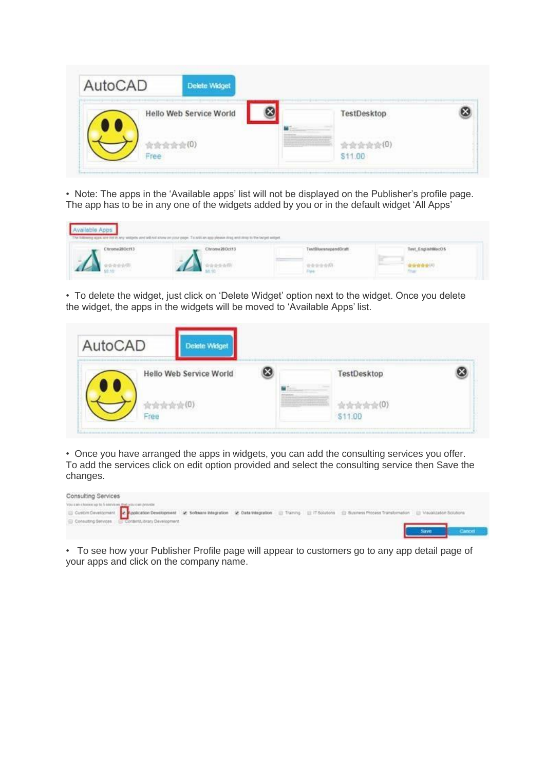| AutoCAD | <b>Delete Widget</b>                                                                          |                                                                                                                              |  |
|---------|-----------------------------------------------------------------------------------------------|------------------------------------------------------------------------------------------------------------------------------|--|
|         | 91111111-1111111<br><b>Hello Web Service World</b><br>1923년 2017년 1월 20일 1일 1일 1일 1일 1일 1일 1일 | 1999 - 1999 - 1999 - 1999 - 1999 - 1999 - 1999 - 1999 - 1999 - 1999 - 1999 - 1999 - 1999 - 1999 - 1999 - 1999<br>TestDesktop |  |
|         | 1 KHBOWC                                                                                      | \$11.00                                                                                                                      |  |

• Note: The apps in the 'Available apps' list will not be displayed on the Publisher's profile page. The app has to be in any one of the widgets added by you or in the default widget 'All Apps'



• To delete the widget, just click on 'Delete Widget' option next to the widget. Once you delete the widget, the apps in the widgets will be moved to 'Available Apps' list.

| AutoCAD | Delete Widget           |          |             |  |
|---------|-------------------------|----------|-------------|--|
|         | Hello Web Service World | -------- | TestDesktop |  |
| Free    |                         |          | \$11.00     |  |

• Once you have arranged the apps in widgets, you can add the consulting services you offer. To add the services click on edit option provided and select the consulting service then Save the changes.



• To see how your Publisher Profile page will appear to customers go to any app detail page of your apps and click on the company name.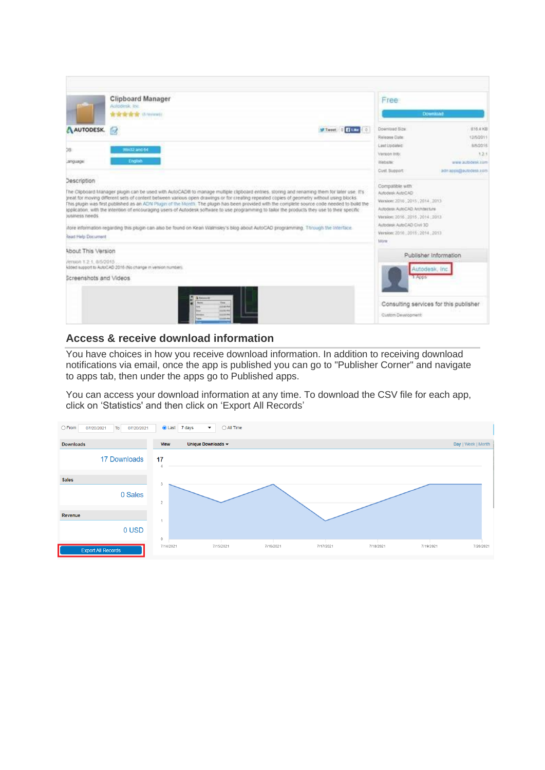|                                                                        | <b>Clipboard Manager</b><br>Autodesk, Inc.<br><b>食宿宿宿宿</b> (Amient)                                                                                                                                                                                                                                                                                                                                                                                                                                                                                                                                                                                                                                                                        | Free<br><b>Download</b>                                                                                                                                                                                                                                                                         |
|------------------------------------------------------------------------|--------------------------------------------------------------------------------------------------------------------------------------------------------------------------------------------------------------------------------------------------------------------------------------------------------------------------------------------------------------------------------------------------------------------------------------------------------------------------------------------------------------------------------------------------------------------------------------------------------------------------------------------------------------------------------------------------------------------------------------------|-------------------------------------------------------------------------------------------------------------------------------------------------------------------------------------------------------------------------------------------------------------------------------------------------|
| AUTODESK.<br>CS.                                                       | 仮<br>Win32 and 64                                                                                                                                                                                                                                                                                                                                                                                                                                                                                                                                                                                                                                                                                                                          | Doamload Size<br>816 & KB<br><b>Elian</b><br>ø.<br><b>M</b> Tweet<br>Release Date:<br>12/50011<br>8/5/2015<br>Last Updated<br>12.1<br>Varsion info:                                                                                                                                             |
| Language<br>Description<br>susiness needs<br><b>Read Help Document</b> | Engine<br>The Clipboard Manager plugin can be used with AutoCAD® to manage multiple clipboard entries, storing and renaming them for later use. It's<br>treat for moving different sets of content between various open drawings or for creating repeated copies of geometry without using blocks.<br>This plugin was first published as an ADN Plugin of the Month. The plugin has been provided with the complete source code needed to build the<br>application, with the intention of encouraging users of Autodesk software to use programming to tailor the products they use to their specific<br>Acce information regarding this plugin can also be found on Kean Walmsley's blog about AutoCAD programming. Through the Interface | Website:<br>www.autodesk.com<br>Cust Support:<br>admappe@autodesk.com<br>Compatible with<br>Aimodesk AutoCAD<br>Watslotz 2016 , 2015 , 2014 : 2013<br>Autosess AutoCAD Architecture<br>Version: 2016. 2015. 2014. 2013.<br>Autodesk AutoCAD Civil 3D<br>Version: 2010 .2015 .2014 .2013<br>Móre |
| About This Version<br>/enson 1.2.1. 6/5/2015<br>Screenshots and Videos | Added support to AutoCAD 2016 (No change in version number)<br>time.<br>counted.<br>more will<br><b>COLLEGE</b><br><b>COLOR</b>                                                                                                                                                                                                                                                                                                                                                                                                                                                                                                                                                                                                            | Publisher Information<br>Autodesk, Inc.<br>1.Apps<br>Consulting services for this publisher<br>Custom Development                                                                                                                                                                               |

# **Access & receive download information**

You have choices in how you receive download information. In addition to receiving download notifications via email, once the app is published you can go to "Publisher Corner" and navigate to apps tab, then under the apps go to Published apps.

<span id="page-10-0"></span>You can access your download information at any time. To download the CSV file for each app, click on 'Statistics' and then click on 'Export All Records'

| $\bigcirc$ From<br>07/20/2021<br>07/20/2021<br>To | $\odot$ Last<br>$\bigcirc$ All Time<br>7 days<br>$\overline{\phantom{a}}$  |                    |
|---------------------------------------------------|----------------------------------------------------------------------------|--------------------|
| <b>Downloads</b>                                  | Unique Downloads -<br><b>View</b>                                          | Day   Week   Month |
| <b>17 Downloads</b>                               | 17                                                                         |                    |
| <b>Sales</b>                                      |                                                                            |                    |
| 0 Sales                                           | $\overline{2}$                                                             |                    |
| Revenue                                           |                                                                            |                    |
| 0 USD                                             | $\mathbf{0}$                                                               |                    |
| <b>Export All Records</b>                         | 7/14/2021<br>7/15/2021<br>7/16/2021<br>7/17/2021<br>7/18/2021<br>7/19/2021 | 7/20/2021          |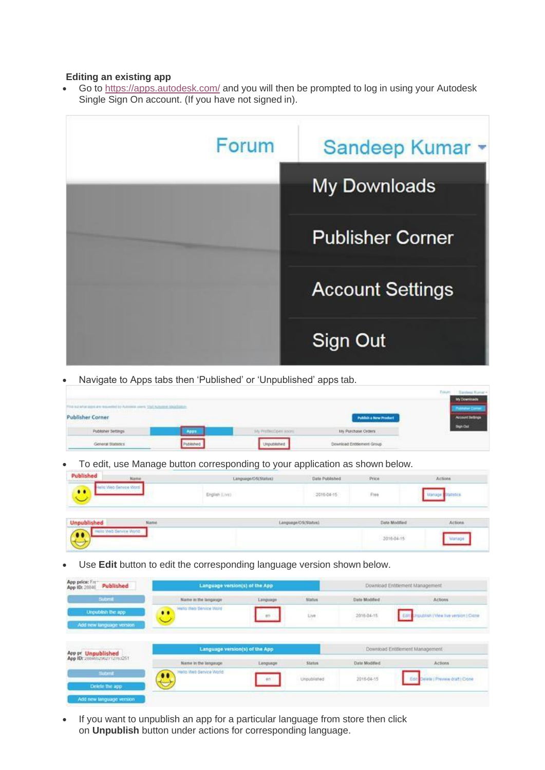#### **Editing an existing app**

Go to <https://apps.autodesk.com/> and you will then be prompted to log in using your Autodesk Single Sign On account. (If you have not signed in).



• Navigate to Apps tabs then 'Published' or 'Unpublished' apps tab.

|                                                                                                      |                     |                     |                                             | <b>My Downinads</b>     |
|------------------------------------------------------------------------------------------------------|---------------------|---------------------|---------------------------------------------|-------------------------|
| A THE RELEASE RESIDENCE TO A RELEASE REPORT.<br><b>Publisher Corner</b><br><u> Maria Manazarta (</u> | ALCOHOL: ASKATELING |                     | Publish a New Product<br>________<br>$\sim$ | <b>Account Bethings</b> |
| Publisher Settings                                                                                   | App                 | 14 Profession sport | <b>XIV Purchase Orders</b>                  | <b>Bun Out</b>          |
| Mark Consultation Associates<br>General Statestics                                                   | ublehed             | Unpublished         | Download Entitiement Group                  |                         |

• To edit, use Manage button corresponding to your application as shown below.

| Published<br><b>Same in the first action showed</b> | Name                   | Language/OS(Status) | Date Published         | Price         | Actions |
|-----------------------------------------------------|------------------------|---------------------|------------------------|---------------|---------|
| $\bullet$                                           | <b>Sainvina Vinest</b> | English (Live)      | 2016-04-15             | Free          |         |
| <b>Unpublished</b>                                  | Name                   |                     | Leutet@12/O'Abbarona.i | Date Modified | Actions |
| $\bullet\bullet$                                    | Those Website World    |                     |                        | 2016-04-15    |         |

• Use **Edit** button to edit the corresponding language version shown below.

| App price: Free<br>App ID: 28840<br>Published     | Language version(s) of the App        |          |               |               | Download Entitlement Management             |
|---------------------------------------------------|---------------------------------------|----------|---------------|---------------|---------------------------------------------|
| Submit                                            | Name in the langasge                  | Language | <b>Status</b> | Date Modified | Actions                                     |
| Unpublish the app.<br>Add new language version.   | Hollo Wats Service Wond-<br>$\bullet$ | 85       | Live          | 2015-04-15    | rqualish   View Ive version   Clame<br>Edit |
|                                                   |                                       |          |               |               |                                             |
|                                                   | Language version(s) of the App        |          |               |               | Download Entitiement Management             |
| App pr Unpublished<br>App ID: 2004052062712763251 | Name in the language.                 | Language | <b>Status</b> | Date Modified | <b>Actions</b>                              |
| <b>Submit</b><br>Delete the app                   | Hello Web Service World<br>$\bullet$  | 93       | Uroublished   | 2016-04-15    | lete ; Preview draft ; Clone                |

If you want to unpublish an app for a particular language from store then click on **Unpublish** button under actions for corresponding language.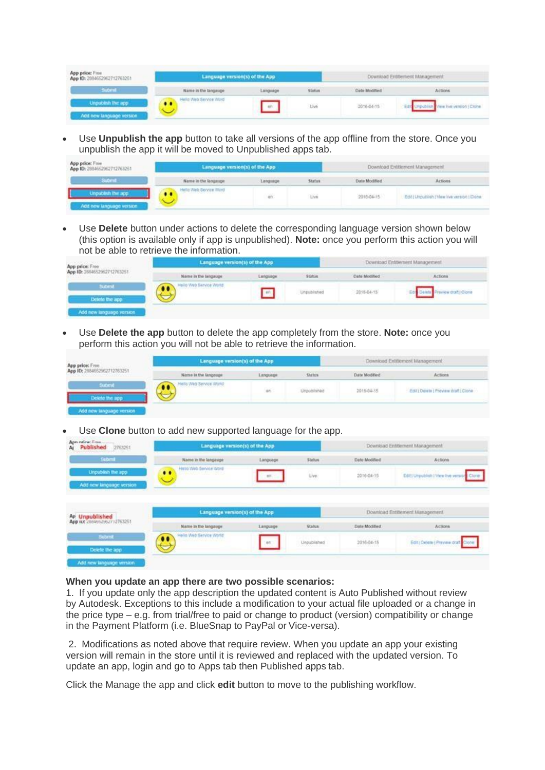| App price: Free<br>App ID: 2884652962712763251 | Language version(s) of the App           |          |        | Download Entitlement Management |                      |
|------------------------------------------------|------------------------------------------|----------|--------|---------------------------------|----------------------|
| <b>Submit</b>                                  | Name in the language                     | Language | Status | Date Modified                   | Actions              |
|                                                | la Vieb Service Word<br>$\bullet\bullet$ |          | Live   | 2016-04-15                      | when yerston (Clone) |

• Use **Unpublish the app** button to take all versions of the app offline from the store. Once you unpublish the app it will be moved to Unpublished apps tab.

| App price: Free<br>App ID: 2884652962712763251 | Language version(s) of the App |               |               | Download Entitlement Management |                                             |  |
|------------------------------------------------|--------------------------------|---------------|---------------|---------------------------------|---------------------------------------------|--|
| <b>Submit</b>                                  | Name in the language           | Language      | <b>Status</b> | Date Modified                   | Actions                                     |  |
| Add new language version                       | As Web Service Word            | $\frac{1}{2}$ | Live          | 2016-04-15                      | Edit   Urpublish   View Het version   Disne |  |

• Use **Delete** button under actions to delete the corresponding language version shown below (this option is available only if app is unpublished). **Note:** once you perform this action you will not be able to retrieve the information.

| App price: Free                  | Language version(s) of the App |           |               | Download Entitement Management |                      |
|----------------------------------|--------------------------------|-----------|---------------|--------------------------------|----------------------|
| App ID: 2884652962712763251<br>. | Name in the language           | Language. | <b>Status</b> | Date Modified                  | Actions              |
| Submit<br>Detete the app         | Hello Web Bervice World        |           | Unpublished   | 2018-04-15                     | review draft   Clone |
| Add new language version         |                                |           |               |                                |                      |

• Use **Delete the app** button to delete the app completely from the store. **Note:** once you perform this action you will not be able to retrieve the information.

| App price: Free.                                                  | Language version(s) of the App |          |             | Download Entitiement Management |                                       |
|-------------------------------------------------------------------|--------------------------------|----------|-------------|---------------------------------|---------------------------------------|
| App 10: 2884652962712763251<br>,,,,,,,,,,,,,,,,,,,,,,,,,,,,,,,,,, | Name in the language           | Language | Status      | Date Modified                   | Actions                               |
| <b>Submit</b><br>Delete the app                                   | tells Web Service World        | in.      | Unpublished | 2016-04-15                      | Edit   Delate   Freylew draft   Clone |
| Add new language version                                          |                                |          |             |                                 |                                       |

• Use **Clone** button to add new supported language for the app.

| Apr. ndew.From<br>Published 2763251<br>Αr                                                                          | Language version(s) of the App      |             |               |               | Download Entitlement Management                       |
|--------------------------------------------------------------------------------------------------------------------|-------------------------------------|-------------|---------------|---------------|-------------------------------------------------------|
| Sobmit                                                                                                             | Name in the langauge                | Language    | Status        | Date Moddled  | Actions                                               |
| <b>Unpublish the app.</b><br>Add new language version<br><u> 1975 - Johann John Stone, Amerikaansk politiker (</u> | Helio Web Service Word<br>$\bullet$ | 87          | Live.         | 2016-04-15    | 9 ISBN 0<br>Edit) Unpublish   View live yers<br>Clone |
|                                                                                                                    |                                     |             |               |               |                                                       |
| Ap Unpublished                                                                                                     | Language version(s) of the App      |             |               |               | Download Entitement Management                        |
|                                                                                                                    | Name in the language                | Language    | <b>Status</b> | Date Modified | Actions                                               |
| Арр ня 2064602062112763251<br>Submit<br>Delete the app                                                             | Hello Web Service World<br>         | <b>WILL</b> | Unpublished   | 2016-04-15    | Edit) Delete   Preview draft Clonk                    |

#### **When you update an app there are two possible scenarios:**

1. If you update only the app description the updated content is Auto Published without review by Autodesk. Exceptions to this include a modification to your actual file uploaded or a change in the price type – e.g. from trial/free to paid or change to product (version) compatibility or change in the Payment Platform (i.e. BlueSnap to PayPal or Vice-versa).

2. Modifications as noted above that require review. When you update an app your existing version will remain in the store until it is reviewed and replaced with the updated version. To update an app, login and go to Apps tab then Published apps tab.

Click the Manage the app and click **edit** button to move to the publishing workflow.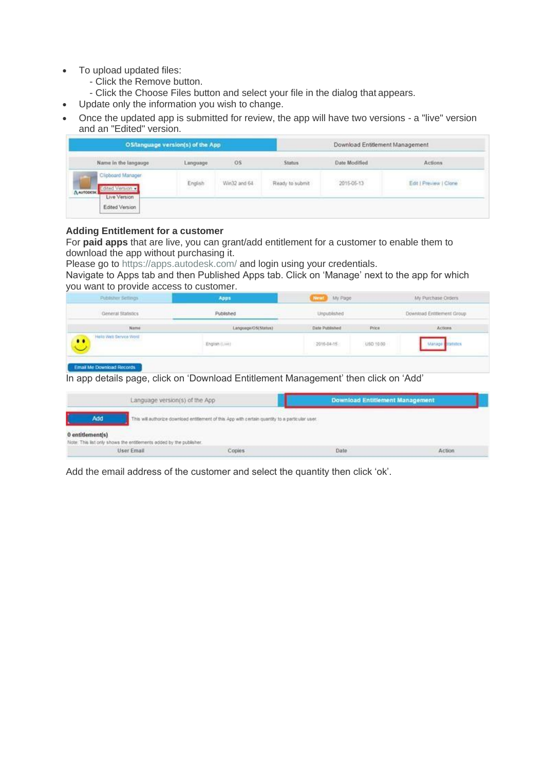- To upload updated files:
	- Click the Remove button.
	- Click the Choose Files button and select your file in the dialog that appears.
	- Update only the information you wish to change.
- Once the updated app is submitted for review, the app will have two versions a "live" version and an "Edited" version.

| OS/language version(s) of the App                                 |           |                               |                 | Download Entitlement Management |                                                  |  |
|-------------------------------------------------------------------|-----------|-------------------------------|-----------------|---------------------------------|--------------------------------------------------|--|
| Name in the langauge                                              | Language. | O <sub>S</sub><br><b>MARK</b> | <b>Status</b>   | Date Modified                   | Actions<br>0001056100                            |  |
| Clipboard Manager<br>Edited Version<br>A AUTODESK<br>Live Version | English   | Win32 and 64                  | Ready to submit | 2015-05-13                      | Edit   Preview   Clone<br>THE REPORT OF A STREET |  |
| Edited Version                                                    |           |                               |                 |                                 |                                                  |  |

#### **Adding Entitlement for a customer**

For **paid apps** that are live, you can grant/add entitlement for a customer to enable them to download the app without purchasing it.

Please go to [https://apps.autodesk.com/ a](https://apps.autodesk.com/)nd login using your credentials.

Navigate to Apps tab and then Published Apps tab. Click on 'Manage' next to the app for which you want to provide access to customer.

| General Statistics                               | Published           | Unpublished    |           | Download Entitlement Group |
|--------------------------------------------------|---------------------|----------------|-----------|----------------------------|
| Name<br><b>CONTRACTOR</b>                        | Language OS(Status) | Date Published | Price     | <b>Actions</b>             |
| Hello Web Service Word:<br>3 25. VOI 000 HISSI F | English (Live)      | 2016-04-15     | USD 10.00 | Marsie<br><b>Fatistics</b> |

In app details page, click on 'Download Entitlement Management' then click on 'Add'

|                  | Language version(s) of the App                                                                                                                                                                  |        | <b>Download Entitlement Management</b> |        |  |
|------------------|-------------------------------------------------------------------------------------------------------------------------------------------------------------------------------------------------|--------|----------------------------------------|--------|--|
| Add              | This will authorize download entitlement of this App with certain quantity to a particular user.<br>로 상승한 회사 전 모르고 있는 것이 같은데 있는 것이 있는 것이 있으나 같은데 이 사람이 있는 것이 같은데 같은데 그 사람이 있는 것이 있으나 같이 있는 것이다. |        |                                        |        |  |
| 0 entitlement(s) | Note: This list only shows the entitements added by the publisher.                                                                                                                              |        |                                        |        |  |
|                  | User Email                                                                                                                                                                                      | Copies | Date                                   | Action |  |

Add the email address of the customer and select the quantity then click 'ok'.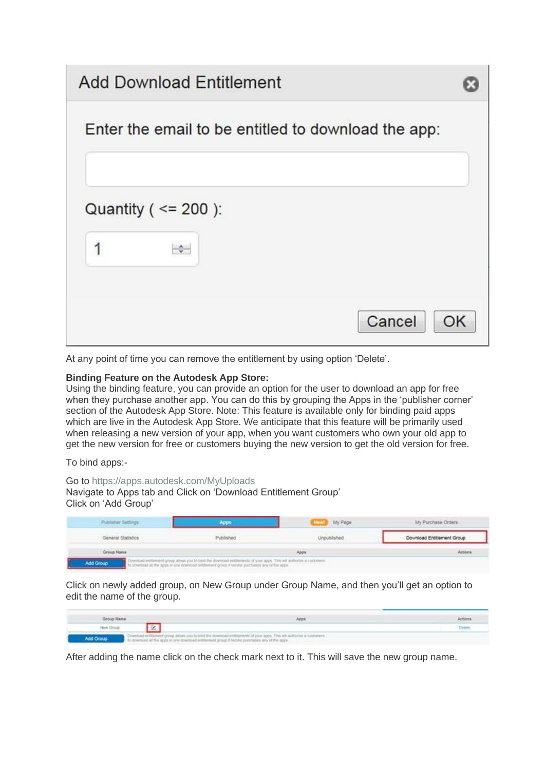# **Add Download Entitlement**



At any point of time you can remove the entitlement by using option 'Delete'.

#### **Binding Feature on the Autodesk App Store:**

Using the binding feature, you can provide an option for the user to download an app for free when they purchase another app. You can do this by grouping the Apps in the 'publisher corner' section of the Autodesk App Store. Note: This feature is available only for binding paid apps which are live in the Autodesk App Store. We anticipate that this feature will be primarily used when releasing a new version of your app, when you want customers who own your old app to get the new version for free or customers buying the new version to get the old version for free.

To bind apps:-

#### Go to<https://apps.autodesk.com/MyUploads>

Navigate to Apps tab and Click on 'Download Entitlement Group' Click on 'Add Group'

| A STREAM STREET STREET AND A STREET<br>General Statistics | Published |       | Download Entitlement Group |
|-----------------------------------------------------------|-----------|-------|----------------------------|
| Group Name                                                |           | Apps: | Actions                    |

Click on newly added group, on New Group under Group Name, and then you'll get an option to edit the name of the group.

| Group Name |                                                                                                 | Appt                                                                                                                 | Actions |
|------------|-------------------------------------------------------------------------------------------------|----------------------------------------------------------------------------------------------------------------------|---------|
|            |                                                                                                 |                                                                                                                      |         |
| Add Group  | to download at the apps in one download entitiertent group if hidshe porchases any of the apps. | Covential entitement group alows you to bind the downsaid entitiements of your apps. This will authorize a customers |         |

After adding the name click on the check mark next to it. This will save the new group name.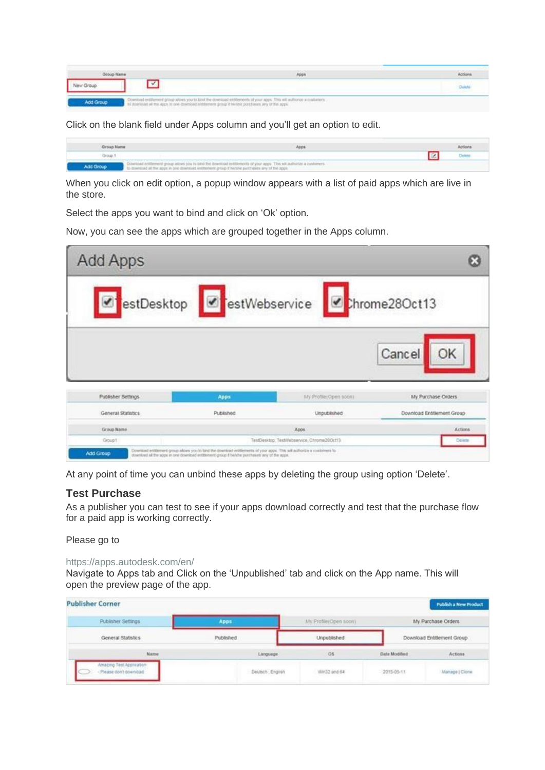| <b>Group Name</b> |                                                                                                                                                                                                                        | Apps | Actions |
|-------------------|------------------------------------------------------------------------------------------------------------------------------------------------------------------------------------------------------------------------|------|---------|
|                   |                                                                                                                                                                                                                        |      | Delet   |
| Add Group         | Download entitement group alove you to bloch the download entitements of your apps. This will authorize a customers<br>In download at the apps in one download entitement group if twistvir porchases any of the apps. |      |         |

Click on the blank field under Apps column and you'll get an option to edit.

| Group Name | Apps                                                                                                                                                                                                                               | Actions |
|------------|------------------------------------------------------------------------------------------------------------------------------------------------------------------------------------------------------------------------------------|---------|
| Group 5    |                                                                                                                                                                                                                                    |         |
| Add Group  | Constituted entitlement group attives you to band the directiond entitlements of your apps. This will authorize a customers<br>. To download at the apps in one downsald entitionent group if historie purchases any of the apps." |         |

When you click on edit option, a popup window appears with a list of paid apps which are live in the store.

Select the apps you want to bind and click on 'Ok' option.

Now, you can see the apps which are grouped together in the Apps column.

| <b>Add Apps</b>    |           |                                                          |                            |
|--------------------|-----------|----------------------------------------------------------|----------------------------|
|                    |           | estDesktop <b>G</b> estWebservice <b>G</b> chrome28Oct13 |                            |
|                    |           |                                                          | Cancel<br>OK               |
|                    | Apps      | My Profile:Open soon)                                    | My Purchase Orders         |
| Publisher Settings |           |                                                          |                            |
| General Statistics | Published | Unpublished                                              | Download Entitlement Group |
| Group Name         |           | Apps                                                     | <b>Actions:</b>            |

At any point of time you can unbind these apps by deleting the group using option 'Delete'.

# **Test Purchase**

As a publisher you can test to see if your apps download correctly and test that the purchase flow for a paid app is working correctly.

Please go to

#### <https://apps.autodesk.com/en/>

Navigate to Apps tab and Click on the 'Unpublished' tab and click on the App name. This will open the preview page of the app.

| <b>Publisher Corner</b>                          |                                              |                       |              | Publish a New Product      |
|--------------------------------------------------|----------------------------------------------|-----------------------|--------------|----------------------------|
| Publisher Settings                               | Apps                                         | My Pratile(Open soon) |              | My Purchase Orders         |
| General Statistics                               | Published                                    | <b>Unpublished</b>    |              | Download Entitlement Group |
| Name                                             | Language.<br>A property that the first party | OS<br>--              | Date Moddled | Actions                    |
| Amazing Test Approahon:<br>Please don't download | Deutsch Engirsh                              | Win32 and 64          | 2015-05-11   | Manage   Clonic            |